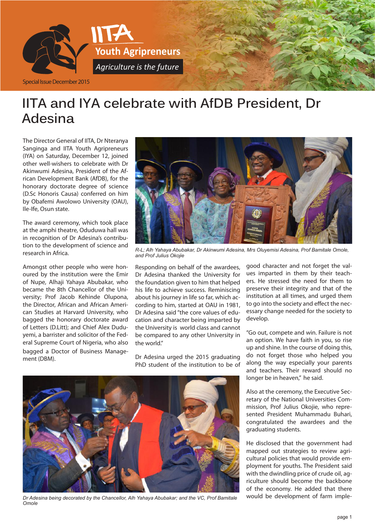

### **IITA and IYA celebrate with AfDB President, Dr Adesina**

The Director General of IITA, Dr Nteranya Sanginga and IITA Youth Agripreneurs (IYA) on Saturday, December 12, joined other well-wishers to celebrate with Dr Akinwumi Adesina, President of the African Development Bank (AfDB), for the honorary doctorate degree of science (D.Sc Honoris Causa) conferred on him by Obafemi Awolowo University (OAU), Ile-Ife, Osun state.

The award ceremony, which took place at the amphi theatre, Oduduwa hall was in recognition of Dr Adesina's contribution to the development of science and research in Africa.

Amongst other people who were honoured by the institution were the Emir of Nupe, Alhaji Yahaya Abubakar, who became the 8th Chancellor of the University; Prof Jacob Kehinde Olupona, the Director, African and African American Studies at Harvard University, who bagged the honorary doctorate award of Letters (D.Litt); and Chief Alex Duduyemi, a barrister and solicitor of the Federal Supreme Court of Nigeria, who also bagged a Doctor of Business Management (DBM).



*R-L; Alh Yahaya Abubakar, Dr Akinwumi Adesina, Mrs Oluyemisi Adesina, Prof Bamitale Omole, and Prof Julius Okojie*

Responding on behalf of the awardees, Dr Adesina thanked the University for the foundation given to him that helped his life to achieve success. Reminiscing about his journey in life so far, which according to him, started at OAU in 1981, Dr Adesina said "the core values of education and character being imparted by the University is world class and cannot be compared to any other University in the world"

Dr Adesina urged the 2015 graduating PhD student of the institution to be of



*Dr Adesina being decorated by the Chancellor, Alh Yahaya Abubakar; and the VC, Prof Bamitale Omole*

good character and not forget the values imparted in them by their teachers. He stressed the need for them to preserve their integrity and that of the institution at all times, and urged them to go into the society and effect the necessary change needed for the society to develop.

"Go out, compete and win. Failure is not an option. We have faith in you, so rise up and shine. In the course of doing this, do not forget those who helped you along the way especially your parents and teachers. Their reward should no longer be in heaven," he said.

Also at the ceremony, the Executive Secretary of the National Universities Commission, Prof Julius Okojie, who represented President Muhammadu Buhari, congratulated the awardees and the graduating students.

He disclosed that the government had mapped out strategies to review agricultural policies that would provide employment for youths. The President said with the dwindling price of crude oil, agriculture should become the backbone of the economy. He added that there would be development of farm imple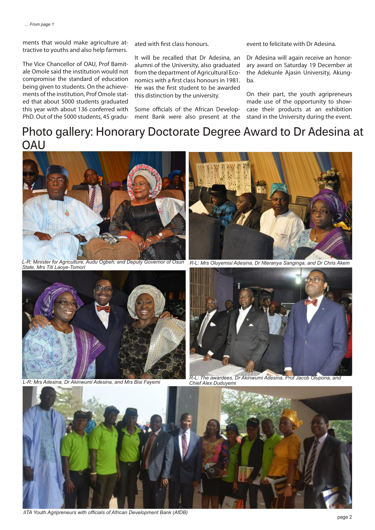ments that would make agriculture attractive to youths and also help farmers.

The Vice Chancellor of OAU, Prof Bamitale Omole said the institution would not compromise the standard of education being given to students. On the achievements of the institution, Prof Omole stated that about 5000 students graduated this year with about 136 conferred with PhD. Out of the 5000 students, 45 graduated with first class honours.

It will be recalled that Dr Adesina, an alumni of the University, also graduated from the department of Agricultural Economics with a first class honours in 1981. He was the first student to be awarded this distinction by the university.

Some officials of the African Development Bank were also present at the

event to felicitate with Dr Adesina.

Dr Adesina will again receive an honorary award on Saturday 19 December at the Adekunle Ajasin University, Akungba.

On their part, the youth agripreneurs made use of the opportunity to showcase their products at an exhibition stand in the University during the event.

### **Photo gallery: Honorary Doctorate Degree Award to Dr Adesina at OAU**



*L-R: Minister for Agriculture, Audu Ogbeh; and Deputy Governor of Osun* 



*State, Mrs Titi Laoye-Tomori R-L: Mrs Oluyemisi Adesina, Dr Nteranya Sanginga, and Dr Chris Akem*





*L-R: Mrs Adesina, Dr Akinwumi Adesina, and Mrs Bisi Fayemi R-L: The awardees, Dr Akinwumi Adesina, Prof Jacob Olupona, and Chief Alex Duduyemi* 



*IITA Youth Agripreneurs with officials of African Development Bank (AfDB)*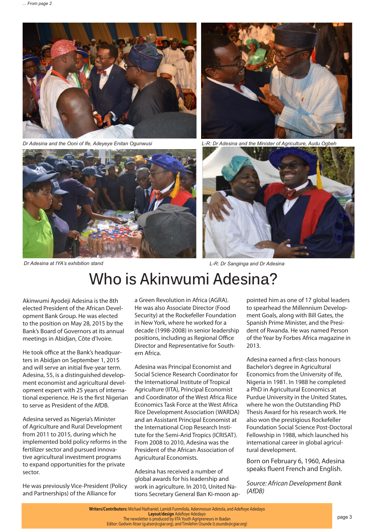

*Dr Adesina and the Ooni of Ife, Adeyeye Enitan Ogunwusi L-R: Dr Adesina and the Minister of Agriculture, Audu Ogbeh*







*Dr Adesina at IYA's exhibition stand L-R: Dr Sanginga and Dr Adesina*

## **Who is Akinwumi Adesina?**

Akinwumi Ayodeji Adesina is the 8th elected President of the African Development Bank Group. He was elected to the position on May 28, 2015 by the Bank's Board of Governors at its annual meetings in Abidjan, Côte d'Ivoire.

He took office at the Bank's headquarters in Abidjan on September 1, 2015 and will serve an initial five-year term. Adesina, 55, is a distinguished development economist and agricultural development expert with 25 years of international experience. He is the first Nigerian to serve as President of the AfDB.

Adesina served as Nigeria's Minister of Agriculture and Rural Development from 2011 to 2015, during which he implemented bold policy reforms in the fertilizer sector and pursued innovative agricultural investment programs to expand opportunities for the private sector.

He was previously Vice-President (Policy and Partnerships) of the Alliance for

a Green Revolution in Africa (AGRA). He was also Associate Director (Food Security) at the Rockefeller Foundation in New York, where he worked for a decade (1998-2008) in senior leadership positions, including as Regional Office Director and Representative for Southern Africa.

Adesina was Principal Economist and Social Science Research Coordinator for the International Institute of Tropical Agriculture (IITA), Principal Economist and Coordinator of the West Africa Rice Economics Task Force at the West Africa Rice Development Association (WARDA) and an Assistant Principal Economist at the International Crop Research Institute for the Semi-Arid Tropics (ICRISAT). From 2008 to 2010, Adesina was the President of the African Association of Agricultural Economists.

Adesina has received a number of global awards for his leadership and work in agriculture. In 2010, United Nations Secretary General Ban Ki-moon ap-

pointed him as one of 17 global leaders to spearhead the Millennium Development Goals, along with Bill Gates, the Spanish Prime Minister, and the President of Rwanda. He was named Person of the Year by Forbes Africa magazine in 2013.

Adesina earned a first-class honours Bachelor's degree in Agricultural Economics from the University of Ife, Nigeria in 1981. In 1988 he completed a PhD in Agricultural Economics at Purdue University in the United States, where he won the Outstanding PhD Thesis Award for his research work. He also won the prestigious Rockefeller Foundation Social Science Post-Doctoral Fellowship in 1988, which launched his international career in global agricultural development.

Born on February 6, 1960, Adesina speaks fluent French and English.

*Source: African Development Bank (AfDB)*